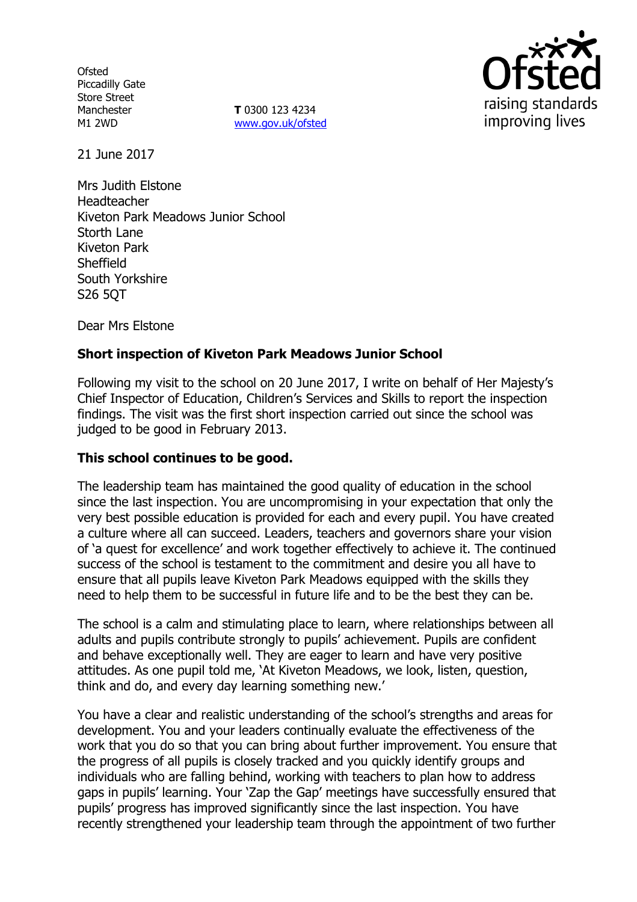**Ofsted** Piccadilly Gate Store Street Manchester M1 2WD

**T** 0300 123 4234 www.gov.uk/ofsted



21 June 2017

Mrs Judith Elstone Headteacher Kiveton Park Meadows Junior School Storth Lane Kiveton Park **Sheffield** South Yorkshire S26 5QT

Dear Mrs Elstone

# **Short inspection of Kiveton Park Meadows Junior School**

Following my visit to the school on 20 June 2017, I write on behalf of Her Majesty's Chief Inspector of Education, Children's Services and Skills to report the inspection findings. The visit was the first short inspection carried out since the school was judged to be good in February 2013.

## **This school continues to be good.**

The leadership team has maintained the good quality of education in the school since the last inspection. You are uncompromising in your expectation that only the very best possible education is provided for each and every pupil. You have created a culture where all can succeed. Leaders, teachers and governors share your vision of 'a quest for excellence' and work together effectively to achieve it. The continued success of the school is testament to the commitment and desire you all have to ensure that all pupils leave Kiveton Park Meadows equipped with the skills they need to help them to be successful in future life and to be the best they can be.

The school is a calm and stimulating place to learn, where relationships between all adults and pupils contribute strongly to pupils' achievement. Pupils are confident and behave exceptionally well. They are eager to learn and have very positive attitudes. As one pupil told me, 'At Kiveton Meadows, we look, listen, question, think and do, and every day learning something new.'

You have a clear and realistic understanding of the school's strengths and areas for development. You and your leaders continually evaluate the effectiveness of the work that you do so that you can bring about further improvement. You ensure that the progress of all pupils is closely tracked and you quickly identify groups and individuals who are falling behind, working with teachers to plan how to address gaps in pupils' learning. Your 'Zap the Gap' meetings have successfully ensured that pupils' progress has improved significantly since the last inspection. You have recently strengthened your leadership team through the appointment of two further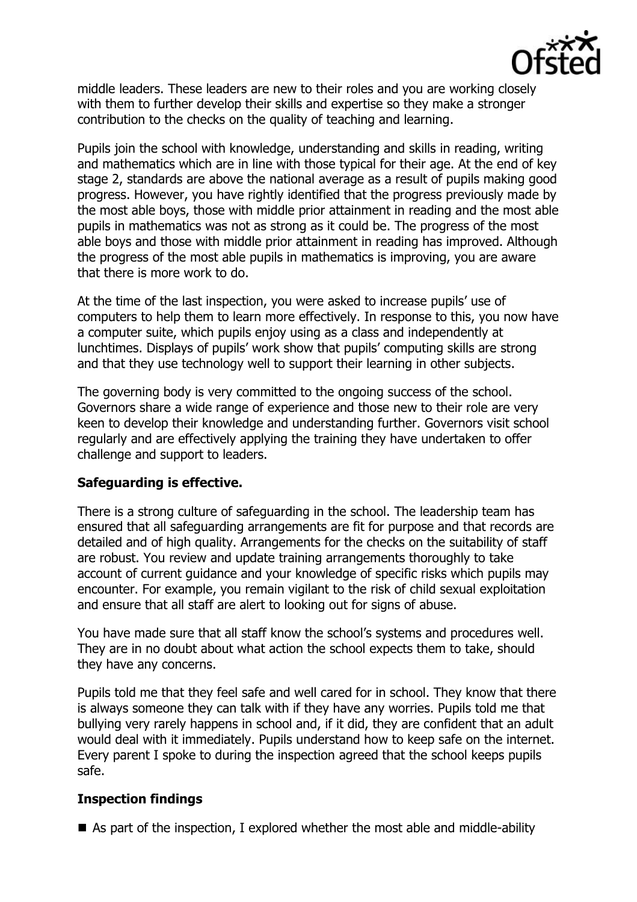

middle leaders. These leaders are new to their roles and you are working closely with them to further develop their skills and expertise so they make a stronger contribution to the checks on the quality of teaching and learning.

Pupils join the school with knowledge, understanding and skills in reading, writing and mathematics which are in line with those typical for their age. At the end of key stage 2, standards are above the national average as a result of pupils making good progress. However, you have rightly identified that the progress previously made by the most able boys, those with middle prior attainment in reading and the most able pupils in mathematics was not as strong as it could be. The progress of the most able boys and those with middle prior attainment in reading has improved. Although the progress of the most able pupils in mathematics is improving, you are aware that there is more work to do.

At the time of the last inspection, you were asked to increase pupils' use of computers to help them to learn more effectively. In response to this, you now have a computer suite, which pupils enjoy using as a class and independently at lunchtimes. Displays of pupils' work show that pupils' computing skills are strong and that they use technology well to support their learning in other subjects.

The governing body is very committed to the ongoing success of the school. Governors share a wide range of experience and those new to their role are very keen to develop their knowledge and understanding further. Governors visit school regularly and are effectively applying the training they have undertaken to offer challenge and support to leaders.

## **Safeguarding is effective.**

There is a strong culture of safeguarding in the school. The leadership team has ensured that all safeguarding arrangements are fit for purpose and that records are detailed and of high quality. Arrangements for the checks on the suitability of staff are robust. You review and update training arrangements thoroughly to take account of current guidance and your knowledge of specific risks which pupils may encounter. For example, you remain vigilant to the risk of child sexual exploitation and ensure that all staff are alert to looking out for signs of abuse.

You have made sure that all staff know the school's systems and procedures well. They are in no doubt about what action the school expects them to take, should they have any concerns.

Pupils told me that they feel safe and well cared for in school. They know that there is always someone they can talk with if they have any worries. Pupils told me that bullying very rarely happens in school and, if it did, they are confident that an adult would deal with it immediately. Pupils understand how to keep safe on the internet. Every parent I spoke to during the inspection agreed that the school keeps pupils safe.

## **Inspection findings**

 $\blacksquare$  As part of the inspection, I explored whether the most able and middle-ability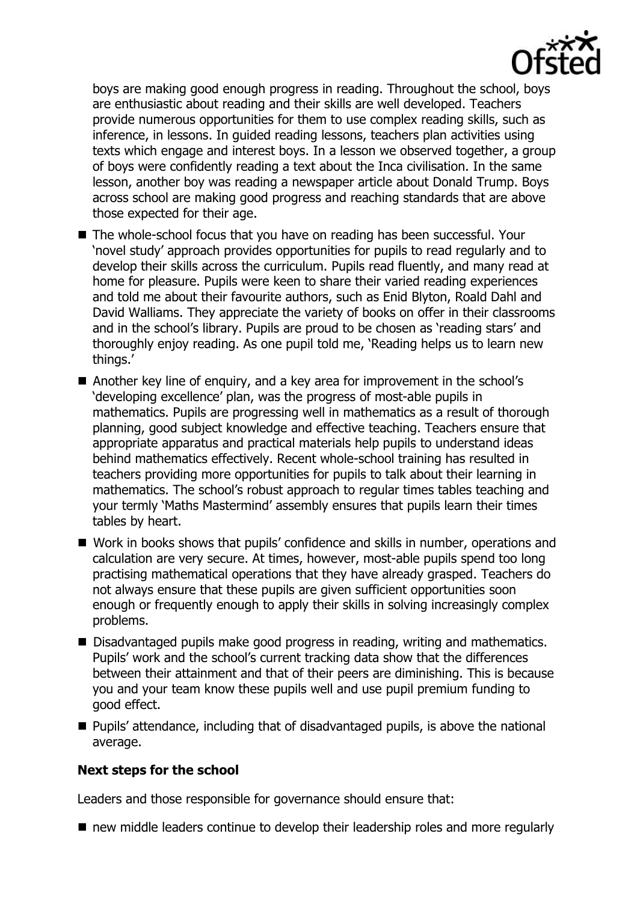

boys are making good enough progress in reading. Throughout the school, boys are enthusiastic about reading and their skills are well developed. Teachers provide numerous opportunities for them to use complex reading skills, such as inference, in lessons. In guided reading lessons, teachers plan activities using texts which engage and interest boys. In a lesson we observed together, a group of boys were confidently reading a text about the Inca civilisation. In the same lesson, another boy was reading a newspaper article about Donald Trump. Boys across school are making good progress and reaching standards that are above those expected for their age.

- The whole-school focus that you have on reading has been successful. Your 'novel study' approach provides opportunities for pupils to read regularly and to develop their skills across the curriculum. Pupils read fluently, and many read at home for pleasure. Pupils were keen to share their varied reading experiences and told me about their favourite authors, such as Enid Blyton, Roald Dahl and David Walliams. They appreciate the variety of books on offer in their classrooms and in the school's library. Pupils are proud to be chosen as 'reading stars' and thoroughly enjoy reading. As one pupil told me, 'Reading helps us to learn new things.'
- Another key line of enquiry, and a key area for improvement in the school's 'developing excellence' plan, was the progress of most-able pupils in mathematics. Pupils are progressing well in mathematics as a result of thorough planning, good subject knowledge and effective teaching. Teachers ensure that appropriate apparatus and practical materials help pupils to understand ideas behind mathematics effectively. Recent whole-school training has resulted in teachers providing more opportunities for pupils to talk about their learning in mathematics. The school's robust approach to regular times tables teaching and your termly 'Maths Mastermind' assembly ensures that pupils learn their times tables by heart.
- Work in books shows that pupils' confidence and skills in number, operations and calculation are very secure. At times, however, most-able pupils spend too long practising mathematical operations that they have already grasped. Teachers do not always ensure that these pupils are given sufficient opportunities soon enough or frequently enough to apply their skills in solving increasingly complex problems.
- Disadvantaged pupils make good progress in reading, writing and mathematics. Pupils' work and the school's current tracking data show that the differences between their attainment and that of their peers are diminishing. This is because you and your team know these pupils well and use pupil premium funding to good effect.
- **Pupils' attendance, including that of disadvantaged pupils, is above the national** average.

## **Next steps for the school**

Leaders and those responsible for governance should ensure that:

■ new middle leaders continue to develop their leadership roles and more regularly